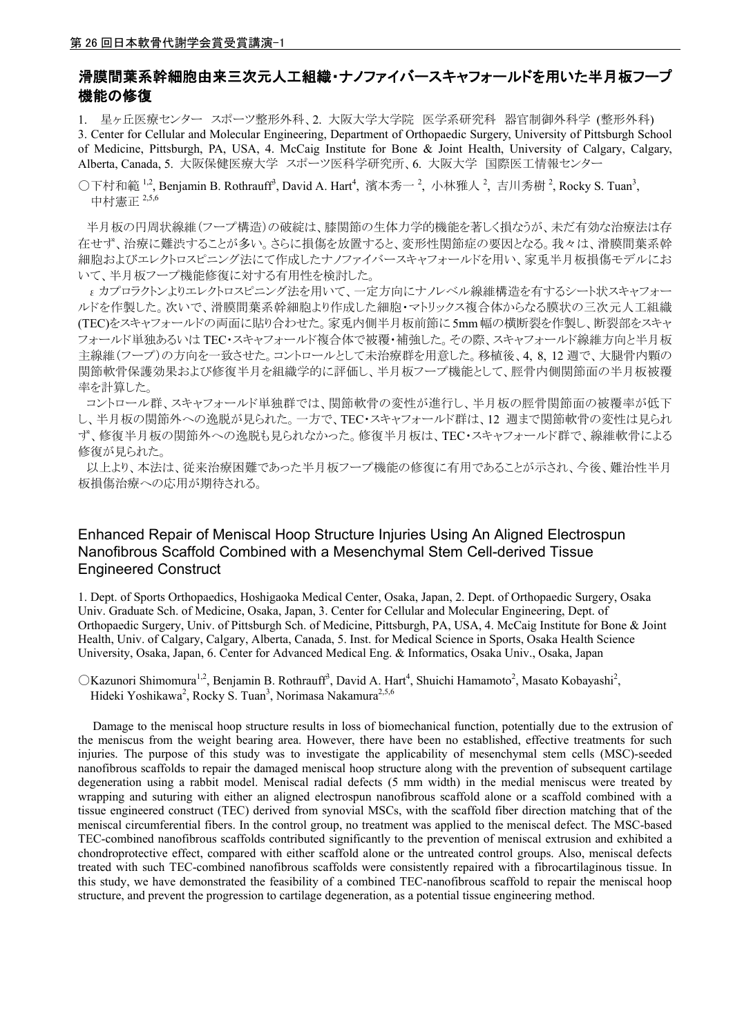# 滑膜間葉系幹細胞由来三次元人工組織・ナノファイバースキャフォールドを用いた半月板フープ 機能の修復

1. 星ヶ丘医療センター スポーツ整形外科、2. 大阪大学大学院 医学系研究科 器官制御外科学 (整形外科) 3. Center for Cellular and Molecular Engineering, Department of Orthopaedic Surgery, University of Pittsburgh School of Medicine, Pittsburgh, PA, USA, 4. McCaig Institute for Bone & Joint Health, University of Calgary, Calgary, Alberta, Canada, 5. 大阪保健医療大学 スポーツ医科学研究所、6. 大阪大学 国際医工情報センター

○下村和範<sup>1,2</sup>, Benjamin B. Rothrauff<sup>3</sup>, David A. Hart<sup>4</sup>, 濱本秀一<sup>2</sup>, 小林雅人<sup>2</sup>, 吉川秀樹<sup>2</sup>, Rocky S. Tuan<sup>3</sup>, 中村憲正 2,5,6

 半月板の円周状線維(フープ構造)の破綻は、膝関節の生体力学的機能を著しく損なうが、未だ有効な治療法は存 在せず、治療に難渋することが多い。さらに損傷を放置すると、変形性関節症の要因となる。我々は、滑膜間葉系幹 細胞およびエレクトロスピニング法にて作成したナノファイバースキャフォールドを用い、家兎半月板損傷モデルにお いて、半月板フープ機能修復に対する有用性を検討した。

 εカプロラクトンよりエレクトロスピニング法を用いて、一定方向にナノレベル線維構造を有するシート状スキャフォー ルドを作製した。次いで、滑膜間葉系幹細胞より作成した細胞・マトリックス複合体からなる膜状の三次元人工組織 (TEC)をスキャフォールドの両面に貼り合わせた。家兎内側半月板前節に 5mm 幅の横断裂を作製し、断裂部をスキャ フォールド単独あるいは TEC・スキャフォールド複合体で被覆・補強した。その際、スキャフォールド線維方向と半月板 主線維(フープ)の方向を一致させた。コントロールとして未治療群を用意した。移植後、4, 8, 12 週で、大腿骨内顆の 関節軟骨保護効果および修復半月を組織学的に評価し、半月板フープ機能として、脛骨内側関節面の半月板被覆 率を計算した。

 コントロール群、スキャフォールド単独群では、関節軟骨の変性が進行し、半月板の脛骨関節面の被覆率が低下 し、半月板の関節外への逸脱が見られた。一方で、TEC・スキャフォールド群は、12 週まで関節軟骨の変性は見られ ず、修復半月板の関節外への逸脱も見られなかった。修復半月板は、TEC・スキャフォールド群で、線維軟骨による 修復が見られた。

 以上より、本法は、従来治療困難であった半月板フープ機能の修復に有用であることが示され、今後、難治性半月 板損傷治療への応用が期待される。

### Enhanced Repair of Meniscal Hoop Structure Injuries Using An Aligned Electrospun Nanofibrous Scaffold Combined with a Mesenchymal Stem Cell-derived Tissue Engineered Construct

1. Dept. of Sports Orthopaedics, Hoshigaoka Medical Center, Osaka, Japan, 2. Dept. of Orthopaedic Surgery, Osaka Univ. Graduate Sch. of Medicine, Osaka, Japan, 3. Center for Cellular and Molecular Engineering, Dept. of Orthopaedic Surgery, Univ. of Pittsburgh Sch. of Medicine, Pittsburgh, PA, USA, 4. McCaig Institute for Bone & Joint Health, Univ. of Calgary, Calgary, Alberta, Canada, 5. Inst. for Medical Science in Sports, Osaka Health Science University, Osaka, Japan, 6. Center for Advanced Medical Eng. & Informatics, Osaka Univ., Osaka, Japan

OKazunori Shimomura<sup>1,2</sup>, Benjamin B. Rothrauff<sup>3</sup>, David A. Hart<sup>4</sup>, Shuichi Hamamoto<sup>2</sup>, Masato Kobayashi<sup>2</sup>, Hideki Yoshikawa<sup>2</sup>, Rocky S. Tuan<sup>3</sup>, Norimasa Nakamura<sup>2,5,6</sup>

Damage to the meniscal hoop structure results in loss of biomechanical function, potentially due to the extrusion of the meniscus from the weight bearing area. However, there have been no established, effective treatments for such injuries. The purpose of this study was to investigate the applicability of mesenchymal stem cells (MSC)-seeded nanofibrous scaffolds to repair the damaged meniscal hoop structure along with the prevention of subsequent cartilage degeneration using a rabbit model. Meniscal radial defects (5 mm width) in the medial meniscus were treated by wrapping and suturing with either an aligned electrospun nanofibrous scaffold alone or a scaffold combined with a tissue engineered construct (TEC) derived from synovial MSCs, with the scaffold fiber direction matching that of the meniscal circumferential fibers. In the control group, no treatment was applied to the meniscal defect. The MSC-based TEC-combined nanofibrous scaffolds contributed significantly to the prevention of meniscal extrusion and exhibited a chondroprotective effect, compared with either scaffold alone or the untreated control groups. Also, meniscal defects treated with such TEC-combined nanofibrous scaffolds were consistently repaired with a fibrocartilaginous tissue. In this study, we have demonstrated the feasibility of a combined TEC-nanofibrous scaffold to repair the meniscal hoop structure, and prevent the progression to cartilage degeneration, as a potential tissue engineering method.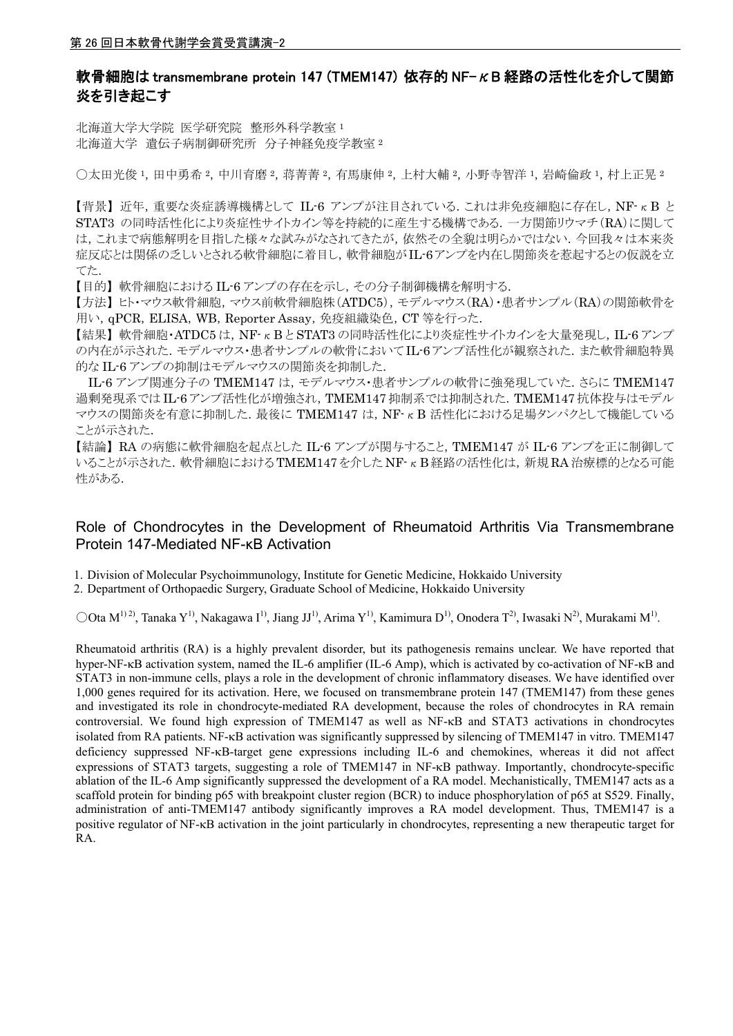# 軟骨細胞は transmembrane protein 147 (TMEM147) 依存的 NF-KB 経路の活性化を介して関節 炎を引き起こす

北海道大学大学院 医学研究院 整形外科学教室 <sup>1</sup> 北海道大学 遺伝子病制御研究所 分子神経免疫学教室 <sup>2</sup>

〇太田光俊 <sup>1</sup>,田中勇希 <sup>2</sup>,中川育磨 <sup>2</sup>,蒋菁菁 <sup>2</sup>,有馬康伸 <sup>2</sup>,上村大輔 <sup>2</sup>,小野寺智洋 <sup>1</sup>,岩崎倫政 <sup>1</sup>,村上正晃 <sup>2</sup>

【背景】 近年,重要な炎症誘導機構として IL-6 アンプが注目されている.これは非免疫細胞に存在し,NF-κB と STAT3 の同時活性化により炎症性サイトカイン等を持続的に産生する機構である.一方関節リウマチ(RA)に関して は,これまで病態解明を目指した様々な試みがなされてきたが,依然その全貌は明らかではない.今回我々は本来炎 症反応とは関係の乏しいとされる軟骨細胞に着目し,軟骨細胞がIL-6アンプを内在し関節炎を惹起するとの仮説を立 てた.

【目的】 軟骨細胞における IL-6 アンプの存在を示し,その分子制御機構を解明する.

【方法】 ヒト・マウス軟骨細胞,マウス前軟骨細胞株(ATDC5),モデルマウス(RA)・患者サンプル(RA)の関節軟骨を 用い, qPCR, ELISA, WB, Reporter Assay, 免疫組織染色, CT 等を行った.

【結果】軟骨細胞·ATDC5は,NF-KBとSTAT3の同時活性化により炎症性サイトカインを大量発現し,IL-6アンプ の内在が示された.モデルマウス·患者サンプルの軟骨においてIL-6アンプ活性化が観察された.また軟骨細胞特異 的な IL-6 アンプの抑制はモデルマウスの関節炎を抑制した.

IL-6 アンプ関連分子の TMEM147 は, モデルマウス·患者サンプルの軟骨に強発現していた. さらに TMEM147 過剰発現系では IL-6 アンプ活性化が増強され,TMEM147 抑制系では抑制された.TMEM147 抗体投与はモデル マウスの関節炎を有意に抑制した.最後に TMEM147 は,NF-κB 活性化における足場タンパクとして機能している ことが示された.

【結論】 RA の病態に軟骨細胞を起点とした IL-6 アンプが関与すること,TMEM147 が IL-6 アンプを正に制御して  $V$ ることが示された.軟骨細胞における TMEM147 を介した NF- $\kappa$  B 経路の活性化は、新規 RA 治療標的となる可能 性がある.

# Role of Chondrocytes in the Development of Rheumatoid Arthritis Via Transmembrane Protein 147-Mediated NF-κB Activation

1. Division of Molecular Psychoimmunology, Institute for Genetic Medicine, Hokkaido University

2. Department of Orthopaedic Surgery, Graduate School of Medicine, Hokkaido University

 $\text{OO}$ ta M<sup>1) 2)</sup>, Tanaka Y<sup>1)</sup>, Nakagawa I<sup>1</sup>), Jiang JJ<sup>1</sup>), Arima Y<sup>1</sup>), Kamimura D<sup>1</sup>), Onodera T<sup>2</sup>), Iwasaki N<sup>2</sup>), Murakami M<sup>1</sup>.

Rheumatoid arthritis (RA) is a highly prevalent disorder, but its pathogenesis remains unclear. We have reported that hyper-NF- $\kappa$ B activation system, named the IL-6 amplifier (IL-6 Amp), which is activated by co-activation of NF- $\kappa$ B and STAT3 in non-immune cells, plays a role in the development of chronic inflammatory diseases. We have identified over 1,000 genes required for its activation. Here, we focused on transmembrane protein 147 (TMEM147) from these genes and investigated its role in chondrocyte-mediated RA development, because the roles of chondrocytes in RA remain controversial. We found high expression of TMEM147 as well as  $NF- $\kappa$ B$  and STAT3 activations in chondrocytes isolated from RA patients. NF-KB activation was significantly suppressed by silencing of TMEM147 in vitro. TMEM147 deficiency suppressed NF- $\kappa$ B-target gene expressions including IL-6 and chemokines, whereas it did not affect expressions of STAT3 targets, suggesting a role of TMEM147 in NF- $\kappa$ B pathway. Importantly, chondrocyte-specific ablation of the IL-6 Amp significantly suppressed the development of a RA model. Mechanistically, TMEM147 acts as a scaffold protein for binding p65 with breakpoint cluster region (BCR) to induce phosphorylation of p65 at S529. Finally, administration of anti-TMEM147 antibody significantly improves a RA model development. Thus, TMEM147 is a positive regulator of NF- $\kappa$ B activation in the joint particularly in chondrocytes, representing a new therapeutic target for RA.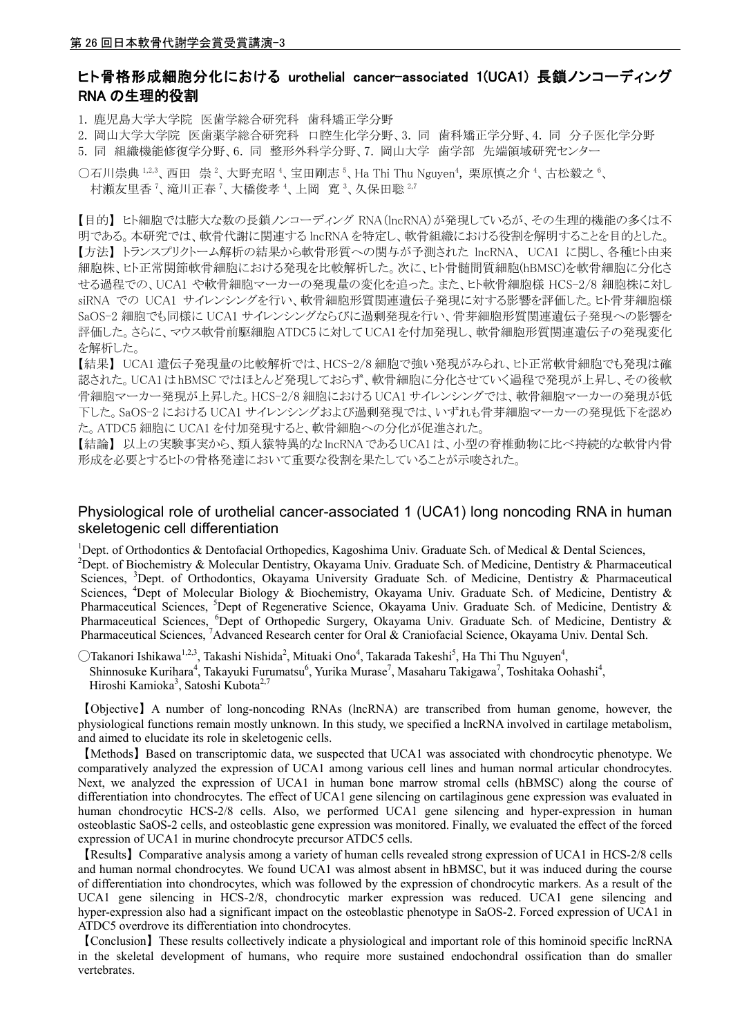### ヒト骨格形成細胞分化における urothelial cancer-associated 1(UCA1) 長鎖ノンコーディング RNA の生理的役割

1. 鹿児島大学大学院 医歯学総合研究科 歯科矯正学分野

2. 岡山大学大学院 医歯薬学総合研究科 口腔生化学分野、3. 同 歯科矯正学分野、4. 同 分子医化学分野

5. 同 組織機能修復学分野、6. 同 整形外科学分野、7. 岡山大学 歯学部 先端領域研究センター

○石川崇典  $1.2.3$ 、西田 崇  $^2$ 、大野充昭  $^4$ 、宝田剛志  $^5$ 、Ha Thi Thu Nguyen $^4$ , 栗原慎之介  $^4$ 、古松毅之  $^6$ 、 村瀬友里香<sup>7</sup>、滝川正春<sup>7</sup>、大橋俊孝<sup>4</sup>、上岡 寛<sup>3</sup>、久保田聡<sup>2,7</sup>

【目的】 ヒト細胞では膨大な数の長鎖ノンコーディング RNA(lncRNA)が発現しているが、その生理的機能の多くは不 明である。本研究では、軟骨代謝に関連する lncRNA を特定し、軟骨組織における役割を解明することを目的とした。 【方法】 トランスプリクトーム解析の結果から軟骨形質への関与が予測された lncRNA、 UCA1 に関し、各種ヒト由来 細胞株、ヒト正常関節軟骨細胞における発現を比較解析した。次に、ヒト骨髄間質細胞(hBMSC)を軟骨細胞に分化さ せる過程での、UCA1 や軟骨細胞マーカーの発現量の変化を追った。また、ヒト軟骨細胞様 HCS-2/8 細胞株に対し siRNA での UCA1 サイレンシングを行い、軟骨細胞形質関連遺伝子発現に対する影響を評価した。ヒト骨芽細胞様 SaOS-2 細胞でも同様に UCA1 サイレンシングならびに過剰発現を行い、骨芽細胞形質関連遺伝子発現への影響を 評価した。さらに、マウス軟骨前駆細胞 ATDC5 に対して UCA1 を付加発現し、軟骨細胞形質関連遺伝子の発現変化 を解析した。

【結果】 UCA1 遺伝子発現量の比較解析では、HCS-2/8 細胞で強い発現がみられ、ヒト正常軟骨細胞でも発現は確 認された。UCA1 はhBMSCではほとんど発現しておらず、軟骨細胞に分化させていく過程で発現が上昇し、その後軟 骨細胞マーカー発現が上昇した。HCS-2/8 細胞における UCA1 サイレンシングでは、軟骨細胞マーカーの発現が低 下した。SaOS-2 における UCA1 サイレンシングおよび過剰発現では、いずれも骨芽細胞マーカーの発現低下を認め た。ATDC5 細胞に UCA1 を付加発現すると、軟骨細胞への分化が促進された。

【結論】 以上の実験事実から、類人猿特異的な lncRNA である UCA1 は、小型の脊椎動物に比べ持続的な軟骨内骨 形成を必要とするヒトの骨格発達において重要な役割を果たしていることが示唆された。

#### Physiological role of urothelial cancer-associated 1 (UCA1) long noncoding RNA in human skeletogenic cell differentiation

<sup>1</sup>Dept. of Orthodontics & Dentofacial Orthopedics, Kagoshima Univ. Graduate Sch. of Medical & Dental Sciences, <sup>2</sup>Dept. of Biochemistry & Molecular Dentistry, Okayama Univ. Graduate Sch. of Medicine, Dentistry & Pharmaceutical Sciences, <sup>3</sup>Dept. of Orthodontics, Okayama University Graduate Sch. of Medicine, Dentistry & Pharmaceutical Sciences, <sup>4</sup>Dept of Molecular Biology & Biochemistry, Okayama Univ. Graduate Sch. of Medicine, Dentistry & Pharmaceutical Sciences, <sup>5</sup>Dept of Regenerative Science, Okayama Univ. Graduate Sch. of Medicine, Dentistry & Pharmaceutical Sciences, <sup>6</sup>Dept of Orthopedic Surgery, Okayama Univ. Graduate Sch. of Medicine, Dentistry & Pharmaceutical Sciences, <sup>7</sup>Advanced Research center for Oral & Craniofacial Science, Okayama Univ. Dental Sch.

 $\bigcirc$ Takanori Ishikawa<sup>1,2,3</sup>, Takashi Nishida<sup>2</sup>, Mituaki Ono<sup>4</sup>, Takarada Takeshi<sup>5</sup>, Ha Thi Thu Nguyen<sup>4</sup>, Shinnosuke Kurihara<sup>4</sup>, Takayuki Furumatsu<sup>6</sup>, Yurika Murase<sup>7</sup>, Masaharu Takigawa<sup>7</sup>, Toshitaka Oohashi<sup>4</sup>, Hiroshi Kamioka<sup>3</sup>, Satoshi Kubota<sup>2,7</sup>

【Objective】A number of long-noncoding RNAs (lncRNA) are transcribed from human genome, however, the physiological functions remain mostly unknown. In this study, we specified a lncRNA involved in cartilage metabolism, and aimed to elucidate its role in skeletogenic cells.

【Methods】Based on transcriptomic data, we suspected that UCA1 was associated with chondrocytic phenotype. We comparatively analyzed the expression of UCA1 among various cell lines and human normal articular chondrocytes. Next, we analyzed the expression of UCA1 in human bone marrow stromal cells (hBMSC) along the course of differentiation into chondrocytes. The effect of UCA1 gene silencing on cartilaginous gene expression was evaluated in human chondrocytic HCS-2/8 cells. Also, we performed UCA1 gene silencing and hyper-expression in human osteoblastic SaOS-2 cells, and osteoblastic gene expression was monitored. Finally, we evaluated the effect of the forced expression of UCA1 in murine chondrocyte precursor ATDC5 cells.

【Results】Comparative analysis among a variety of human cells revealed strong expression of UCA1 in HCS-2/8 cells and human normal chondrocytes. We found UCA1 was almost absent in hBMSC, but it was induced during the course of differentiation into chondrocytes, which was followed by the expression of chondrocytic markers. As a result of the UCA1 gene silencing in HCS-2/8, chondrocytic marker expression was reduced. UCA1 gene silencing and hyper-expression also had a significant impact on the osteoblastic phenotype in SaOS-2. Forced expression of UCA1 in ATDC5 overdrove its differentiation into chondrocytes.

【Conclusion】These results collectively indicate a physiological and important role of this hominoid specific lncRNA in the skeletal development of humans, who require more sustained endochondral ossification than do smaller vertebrates.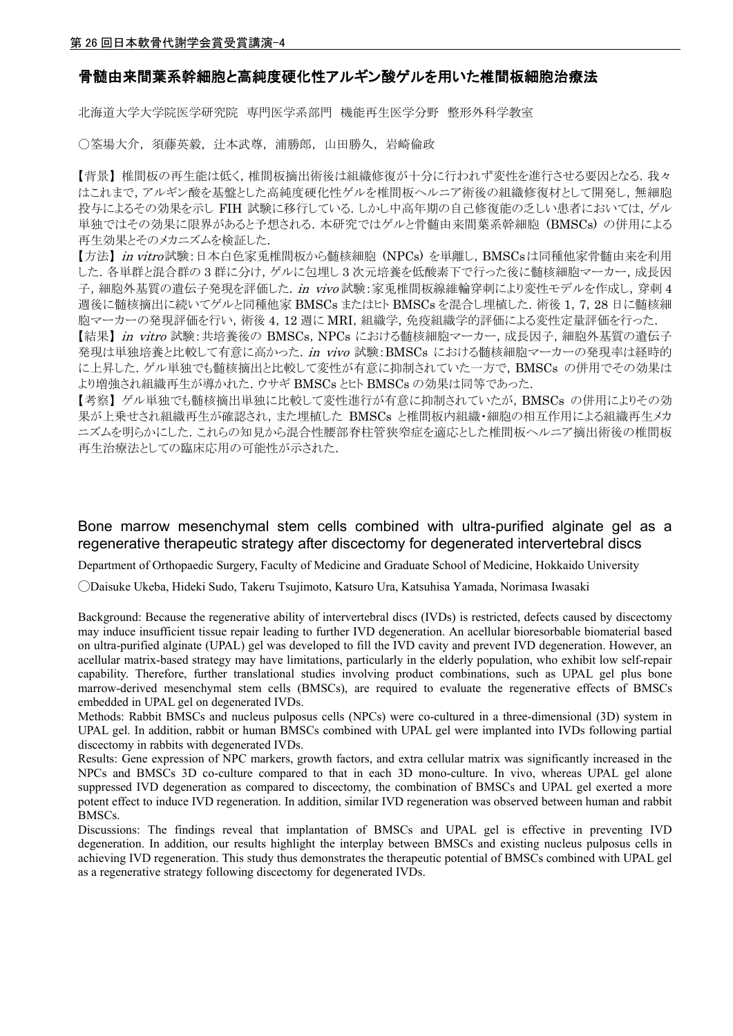#### 骨髄由来間葉系幹細胞と高純度硬化性アルギン酸ゲルを用いた椎間板細胞治療法

北海道大学大学院医学研究院 専門医学系部門 機能再生医学分野 整形外科学教室

〇筌場大介,須藤英毅,辻本武尊,浦勝郎,山田勝久,岩崎倫政

【背景】 椎間板の再生能は低く,椎間板摘出術後は組織修復が十分に行われず変性を進行させる要因となる.我々 はこれまで,アルギン酸を基盤とした高純度硬化性ゲルを椎間板ヘルニア術後の組織修復材として開発し,無細胞 投与によるその効果を示し FIH 試験に移行している. しかし中高年期の自己修復能の乏しい患者においては, ゲル 単独ではその効果に限界があると予想される.本研究ではゲルと骨髄由来間葉系幹細胞 (BMSCs) の併用による 再生効果とそのメカニズムを検証した.

【方法】 in vitro試験:日本白色家兎椎間板から髄核細胞 (NPCs) を単離し, BMSCsは同種他家骨髄由来を利用 した.各単群と混合群の 3 群に分け,ゲルに包埋し 3 次元培養を低酸素下で行った後に髄核細胞マーカー,成長因 子, 細胞外基質の遺伝子発現を評価した. in vivo 試験:家兎椎間板線維輪穿刺により変性モデルを作成し,穿刺4 週後に髄核摘出に続いてゲルと同種他家 BMSCs またはヒト BMSCs を混合し埋植した.術後 1,7,28 日に髄核細 胞マーカーの発現評価を行い,術後 4,12 週に MRI,組織学,免疫組織学的評価による変性定量評価を行った.

【結果】in vitro 試験: 共培養後の BMSCs, NPCs における髄核細胞マーカー, 成長因子, 細胞外基質の遺伝子 発現は単独培養と比較して有意に高かった. in vivo 試験: BMSCs における髄核細胞マーカーの発現率は経時的 に上昇した.ゲル単独でも髄核摘出と比較して変性が有意に抑制されていた一方で,BMSCs の併用でその効果は より増強され組織再生が導かれた.ウサギ BMSCs とヒト BMSCs の効果は同等であった.

【考察】 ゲル単独でも髄核摘出単独に比較して変性進行が有意に抑制されていたが,BMSCs の併用によりその効 果が上乗せされ組織再生が確認され,また埋植した BMSCs と椎間板内組織・細胞の相互作用による組織再生メカ ニズムを明らかにした.これらの知見から混合性腰部脊柱管狭窄症を適応とした椎間板ヘルニア摘出術後の椎間板 再生治療法としての臨床応用の可能性が示された.

### Bone marrow mesenchymal stem cells combined with ultra-purified alginate gel as a regenerative therapeutic strategy after discectomy for degenerated intervertebral discs

Department of Orthopaedic Surgery, Faculty of Medicine and Graduate School of Medicine, Hokkaido University

◯Daisuke Ukeba, Hideki Sudo, Takeru Tsujimoto, Katsuro Ura, Katsuhisa Yamada, Norimasa Iwasaki

Background: Because the regenerative ability of intervertebral discs (IVDs) is restricted, defects caused by discectomy may induce insufficient tissue repair leading to further IVD degeneration. An acellular bioresorbable biomaterial based on ultra-purified alginate (UPAL) gel was developed to fill the IVD cavity and prevent IVD degeneration. However, an acellular matrix-based strategy may have limitations, particularly in the elderly population, who exhibit low self-repair capability. Therefore, further translational studies involving product combinations, such as UPAL gel plus bone marrow-derived mesenchymal stem cells (BMSCs), are required to evaluate the regenerative effects of BMSCs embedded in UPAL gel on degenerated IVDs.

Methods: Rabbit BMSCs and nucleus pulposus cells (NPCs) were co-cultured in a three-dimensional (3D) system in UPAL gel. In addition, rabbit or human BMSCs combined with UPAL gel were implanted into IVDs following partial discectomy in rabbits with degenerated IVDs.

Results: Gene expression of NPC markers, growth factors, and extra cellular matrix was significantly increased in the NPCs and BMSCs 3D co-culture compared to that in each 3D mono-culture. In vivo, whereas UPAL gel alone suppressed IVD degeneration as compared to discectomy, the combination of BMSCs and UPAL gel exerted a more potent effect to induce IVD regeneration. In addition, similar IVD regeneration was observed between human and rabbit BMSCs.

Discussions: The findings reveal that implantation of BMSCs and UPAL gel is effective in preventing IVD degeneration. In addition, our results highlight the interplay between BMSCs and existing nucleus pulposus cells in achieving IVD regeneration. This study thus demonstrates the therapeutic potential of BMSCs combined with UPAL gel as a regenerative strategy following discectomy for degenerated IVDs.